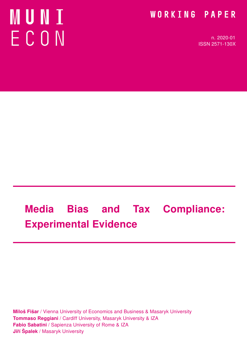# **NUNI** ECON

# WORKING PAPER

n. 2020-01 ISSN 2571-130X

# Media Bias and Tax Compliance: Experimental Evidence

**Miloš Fišar** / Vienna University of Economics and Business & Masaryk University Tommaso Reggiani / Cardiff University, Masaryk University & IZA Fabio Sabatini / Sapienza University of Rome & IZA Jiří Špalek / Masaryk University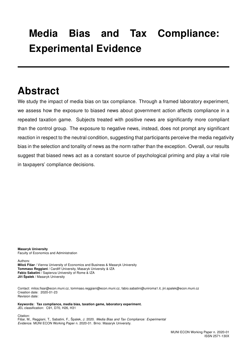# Media Bias and Tax Compliance: Experimental Evidence

# Abstract

We study the impact of media bias on tax compliance. Through a framed laboratory experiment, we assess how the exposure to biased news about government action affects compliance in a repeated taxation game. Subjects treated with positive news are significantly more compliant than the control group. The exposure to negative news, instead, does not prompt any significant reaction in respect to the neutral condition, suggesting that participants perceive the media negativity bias in the selection and tonality of news as the norm rather than the exception. Overall, our results suggest that biased news act as a constant source of psychological priming and play a vital role in taxpayers' compliance decisions.

Masaryk University Faculty of Economics and Administration

Authors: Miloš Fišar / Vienna University of Economics and Business & Masaryk University Tommaso Reggiani / Cardiff University, Masaryk University & IZA Fabio Sabatini / Sapienza University of Rome & IZA Jiří Špalek / Masaryk University

Contact: milos.fisar@econ.muni.cz, tommaso.reggiani@econ.muni.cz, fabio.sabatini@uniroma1.it, jiri.spalek@econ.muni.cz Creation date: 2020-01-23 Revision date:

Keywords: Tax compliance, media bias, taxation game, laboratory experiment. JEL classification: C91, D70, H26, H31

Citation: Fišar, M., Reggiani, T., Sabatini, F., Špalek, J. 2020. Media Bias and Tax Compliance: Experimental Evidence. MUNI ECON Working Paper n. 2020-01. Brno: Masaryk University.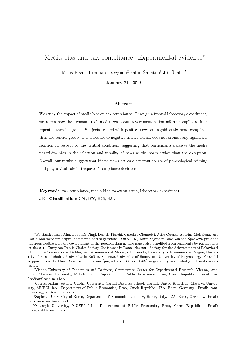# Media bias and tax compliance: Experimental evidence\*

Miloš Fišar<sup>†</sup> Tommaso Reggiani‡ Fabio Sabatini<sup>§</sup> Jiří Špalek<sup>¶</sup>

January 21, 2020

#### Abstract

We study the impact of media bias on tax compliance. Through a framed laboratory experiment, we assess how the exposure to biased news about government action affects compliance in a repeated taxation game. Subjects treated with positive news are signicantly more compliant than the control group. The exposure to negative news, instead, does not prompt any signicant reaction in respect to the neutral condition, suggesting that participants perceive the media negativity bias in the selection and tonality of news as the norm rather than the exception. Overall, our results suggest that biased news act as a constant source of psychological priming and play a vital role in taxpayers' compliance decisions.

Keywords: tax compliance, media bias, taxation game, laboratory experiment. JEL Classification: C91, D70, H26, H31.

<sup>\*</sup>We thank James Alm, Lubomír Cingl, Davide Fiaschi, Caterina Giannetti, Alice Guerra, Antoine Malezieux, and Carla Marchese for helpful comments and suggestions. Otto Eibl, Jozef Zagrapan, and Zuzana Špačková provided precious feedback for the development of the research design. The paper also benefited from comments by participants at the 2018 European Public Choice Society Conference in Rome, the 2019 Society for the Advancement of Behavioral Economics Conference in Dublin, and at seminars at Masaryk University, University of Economics in Prague, University of Pisa, Technical University in Košice, Sapienza University of Rome, and University of Regensburg. Financial support from the Czech Science Foundation (project no. GA17-00496S) is gratefully acknowledged. Usual caveats apply.

Vienna University of Economics and Business, Competence Center for Experimental Research, Vienna, Austria. Masaryk University, MUEEL lab - Department of Public Economics, Brno, Czech Republic. Email: milos.fisar@econ.muni.cz.

<sup>&</sup>lt;sup>‡</sup>Corresponding author. Cardiff University, Cardiff Business School, Cardiff, United Kingdom. Masaryk University, MUEEL lab - Department of Public Economics, Brno, Czech Republic. IZA, Bonn, Germany. Email: tommaso.reggiani@econ.muni.cz.

Sapienza University of Rome, Department of Economics and Law, Rome, Italy. IZA, Bonn, Germany. Email: fabio.sabatini@uniroma1.it.

<sup>¶</sup>Masaryk University, MUEEL lab - Department of Public Economics, Brno, Czech Republic. Email: jiri.spalek@econ.muni.cz.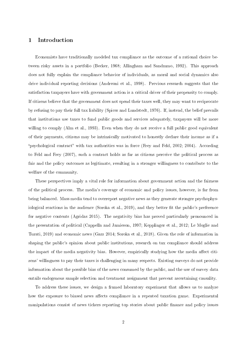### 1 Introduction

Economists have traditionally modeled tax compliance as the outcome of a rational choice between risky assets in a portfolio (Becker, 1968; Allingham and Sandmmo, 1992). This approach does not fully explain the compliance behavior of individuals, as moral and social dynamics also drive individual reporting decisions (Andreoni et al., 1998). Previous research suggests that the satisfaction taxpayers have with government action is a critical driver of their propensity to comply. If citizens believe that the government does not spend their taxes well, they may want to reciprocate by refusing to pay their full tax liability (Spicer and Lundstedt, 1976). If, instead, the belief prevails that institutions use taxes to fund public goods and services adequately, taxpayers will be more willing to comply (Alm et al., 1993). Even when they do not receive a full public good equivalent of their payments, citizens may be intrinsically motivated to honestly declare their income as if a "psychological contract" with tax authorities was in force (Frey and Feld, 2002; 2004). According to Feld and Frey (2007), such a contract holds as far as citizens perceive the political process as fair and the policy outcomes as legitimate, resulting in a stronger willingness to contribute to the welfare of the community.

These perspectives imply a vital role for information about government action and the fairness of the political process. The media's coverage of economic and policy issues, however, is far from being balanced. Mass media tend to overreport negative news as they generate stronger psychophysiological reactions in the audience (Soroka et al., 2019), and they better fit the public's preference for negative contents (Agridas 2015). The negativity bias has proved particularly pronounced in the presentation of political (Cappella and Jamieson, 1997; Kepplinger et al., 2012; Le Moglie and Turati, 2019) and economic news (Garz 2014; Soroka et al., 2018). Given the role of information in shaping the public's opinion about public institutions, research on tax compliance should address the impact of the media negativity bias. However, empirically studying how the media affect citizens' willingness to pay their taxes is challenging in many respects. Existing surveys do not provide information about the possible bias of the news consumed by the public, and the use of survey data entails endogenous sample selection and treatment assignment that prevent ascertaining causality.

To address these issues, we design a framed laboratory experiment that allows us to analyze how the exposure to biased news affects compliance in a repeated taxation game. Experimental manipulations consist of news tickers reporting top stories about public finance and policy issues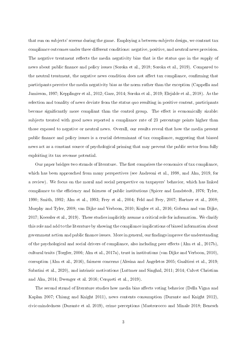that run on subjects' screens during the game. Employing a between-subjects design, we contrast tax compliance outcomes under three different conditions: negative, positive, and neutral news provision. The negative treatment reflects the media negativity bias that is the status quo in the supply of news about public finance and policy issues (Soroka et al., 2018; Soroka et al., 2019). Compared to the neutral treatment, the negative news condition does not affect tax compliance, confirming that participants perceive the media negativity bias as the norm rather than the exception (Cappella and Jamieson, 1997; Kepplinger et al., 2012; Garz, 2014; Soroka et al., 2019; Elejalde et al., 2018). As the selection and tonality of news deviate from the status quo resulting in positive content, participants become significantly more compliant than the control group. The effect is economically sizable: subjects treated with good news reported a compliance rate of 23 percentage points higher than those exposed to negative or neutral news. Overall, our results reveal that how the media present public finance and policy issues is a crucial determinant of tax compliance, suggesting that biased news act as a constant source of psychological priming that may prevent the public sector from fully exploiting its tax revenue potential.

Our paper bridges two strands of literature. The first comprises the economics of tax compliance, which has been approached from many perspectives (see Andreoni et al., 1998, and Alm, 2019, for a review). We focus on the moral and social perspective on taxpayers' behavior, which has linked compliance to the efficiency and fairness of public institutions (Spicer and Lundstedt, 1976; Tyler, 1990; Smith, 1992; Alm et al., 1993; Frey et al., 2004; Feld and Frey, 2007; Hartner et al., 2008; Murphy and Tyler, 2008; van Dijke and Verboon, 2010; Kogler et al., 2016; Gobena and van Dijke, 2017; Koessler et al., 2019). These studies implicitly assume a critical role for information. We clarify this role and add to the literature by showing the compliance implications of biased information about government action and public finance issues. More in general, our findings improve the understanding of the psychological and social drivers of compliance, also including peer effects (Alm et al., 2017b), cultural traits (Torgler, 2006; Alm et al., 2017a), trust in institutions (van Dijke and Verboon, 2010), corruption (Alm et al., 2016), fairness concerns (Alesina and Angeletos 2005; Gualtieri et al., 2019; Sabatini et al., 2020), and intrinsic motivations (Luttmer and Singhal, 2011; 2014; Calvet Christian and Alm, 2014; Dwenger et al. 2016; Cerqueti et al., 2019).

The second strand of literature studies how media bias affects voting behavior (Della Vigna and Kaplan 2007; Chiang and Knight 2011), news contents consumption (Durante and Knight 2012), civic-mindedness (Durante et al. 2019), crime perceptions (Mastrorocco and Minale 2018; Benesch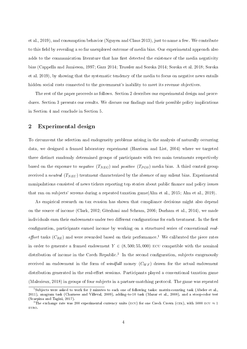et al., 2019), and consumption behavior (Nguyen and Claus 2013), just to name a few. We contribute to this field by revealing a so far unexplored outcome of media bias. Our experimental approach also adds to the communication literature that has first detected the existence of the media negativity bias (Cappella and Jamieson, 1997; Garz 2014; Trussler and Soroka 2014; Soroka et al. 2018; Soroka et al. 2019), by showing that the systematic tendency of the media to focus on negative news entails hidden social costs connected to the government's inability to meet its revenue objectives.

The rest of the paper proceeds as follows. Section 2 describes our experimental design and procedures. Section 3 presents our results. We discuss our findings and their possible policy implications in Section 4 and conclude in Section 5.

## 2 Experimental design

To circumvent the selection and endogeneity problems arising in the analysis of naturally occurring data, we designed a framed laboratory experiment (Harrison and List, 2004) where we targeted three distinct randomly determined groups of participants with two main treatments respectively based on the exposure to negative  $(T_{NEG})$  and positive  $(T_{POS})$  media bias. A third control group received a neutral  $(T_{NEU})$  treatment characterized by the absence of any salient bias. Experimental manipulations consisted of news tickers reporting top stories about public finance and policy issues that ran on subjects' screens during a repeated taxation game(Alm et al., 2015; Alm et al., 2019).

As empirical research on tax evasion has shown that compliance decisions might also depend on the source of income (Clark, 2002; Gërxhani and Schram, 2006; Durham et al., 2014), we made individuals earn their endowments under two different configurations for each treatment. In the first configuration, participants earned income by working on a structured series of conventional realeffort tasks  $(C_{RE})$  and were rewarded based on their performance.<sup>1</sup> We calibrated the piece rates in order to generate a framed endowment  $Y \in (8, 500, 55, 000)$  ECU compatible with the nominal distribution of income in the Czech Republic.<sup>2</sup> In the second configuration, subjects exogenously received an endowment in the form of windfall money  $(C_{WF})$  drawn for the actual endowment distribution generated in the real-effort sessions. Participants played a conventional taxation game (Malezieux, 2018) in groups of four subjects in a partner-matching protocol. The game was repeated

<sup>1</sup>Subjects were asked to work for 2 minutes to each one of following tasks: matrix-counting task (Abeler et al., 2011), anagram task (Charness and Villeval, 2009), adding-to-10 task (Mazar et al., 2008), and a stoop-color test (Scarpina and Tagini, 2017).

<sup>&</sup>lt;sup>2</sup>The exchange rate was 200 experimental currency units (ECU) for one Czech Crown (CZK), with 5000 ECU  $\approx 1$ euro.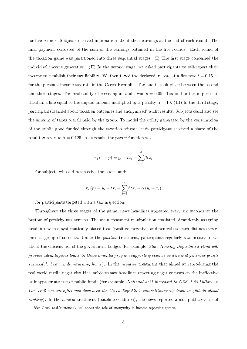for five rounds. Subjects received information about their earnings at the end of each round. The final payment consisted of the sum of the earnings obtained in the five rounds. Each round of the taxation game was partitioned into three sequential stages. (I) The first stage concerned the individual income generation. (II) In the second stage, we asked participants to self-report their income to establish their tax liability. We then taxed the declared income at a flat rate  $t = 0.15$  as for the personal income tax rate in the Czech Republic. Tax audits took place between the second and third stages. The probability of receiving an audit was  $p = 0.05$ . Tax authorities imposed to cheaters a fine equal to the unpaid amount multiplied by a penalty  $\alpha = 10$ . (III) In the third stage, participants learned about taxation outcomes and anonymized<sup>3</sup> audit results. Subjects could also see the amount of taxes overall paid by the group. To model the utility generated by the consumption of the public good funded through the taxation scheme, each participant received a share of the total tax revenue  $\beta = 0.125$ . As a result, the payoff function was:

$$
\pi_i (1 - p) = y_i - tx_i + \sum_{i=1}^{4} \beta t x_i
$$

for subjects who did not receive the audit, and:

$$
\pi_i(p) = y_i - tx_i + \sum_{i=1}^4 \beta tx_i - \alpha (y_i - x_i)
$$

for participants targeted with a tax inspection.

Throughout the three stages of the game, news headlines appeared every six seconds at the bottom of participants' screens. The main treatment manipulation consisted of randomly assigning headlines with a systematically biased tone (positive, negative, and neutral) to each distinct experimental group of subjects. Under the *positive* treatment, participants regularly saw positive news about the efficient use of the government budget (for example, *State Housing Department Fund will* provide advantageous loans, or Governmental program supporting science centers and generous grants successful: best minds returning home). In the negative treatment that aimed at reproducing the real-world media negativity bias, subjects saw headlines reporting negative news on the ineffective or inappropriate use of public funds (for example, National debt increased to CZK 1.68 billion, or Low civil servant efficiency decreased the Czech Republic's competitiveness; down to  $\lambda$ 6th in global ranking). In the neutral treatment (baseline condition), the news reported about public events of

<sup>&</sup>lt;sup>3</sup>See Casal and Mittone (2016) about the role of anonymity in income reporting games.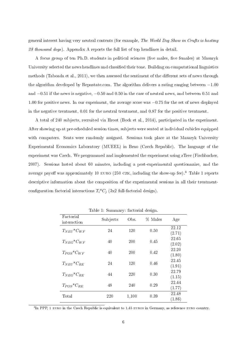general interest having very neutral contents (for example, The World Dog Show in Crufts is hosting 28 thousand dogs). Appendix A reports the full list of top headlines in detail.

A focus group of ten Ph.D. students in political sciences (five males, five females) at Masaryk University selected the news headlines and classified their tone. Building on computational linguistics methods (Taboada et al., 2011), we then assessed the sentiment of the different sets of news through the algorithm developed by Repustate.com. The algorithm delivers a rating ranging between −1.00 and −0.51 if the news is negative, −0.50 and 0.50 in the case of neutral news, and between 0.51 and 1.00 for positive news. In our experiment, the average score was −0.75 for the set of news displayed in the negative treatment, 0.01 for the neutral treatment, and 0.87 for the positive treatment.

A total of 240 subjects, recruited via Hroot (Bock et al., 2014), participated in the experiment. After showing up at pre-scheduled session times, subjects were seated at individual cubicles equipped with computers. Seats were randomly assigned. Sessions took place at the Masaryk University Experimental Economics Laboratory (MUEEL) in Brno (Czech Republic). The language of the experiment was Czech. We programmed and implemented the experiment using zTree (Fischbacher, 2007). Sessions lasted about 60 minutes, including a post-experimental questionnaire, and the average payoff was approximately 10 EURO (250 CZK, including the show-up fee).<sup>4</sup> Table 1 reports descriptive information about the composition of the experimental sessions in all their treatmentconfiguration factorial interactions  $T_i^*C_j$  (3x2 full-factorial design).

|                                 |          | v     | ັ       |                 |
|---------------------------------|----------|-------|---------|-----------------|
| Factorial<br>interaction        | Subjects | Obs.  | % Males | Age             |
| $T_{NEU}$ <sup>*</sup> $C_{WF}$ | 24       | 120   | 0.50    | 22.12<br>(2.71) |
| $T_{NEG}$ <sup>*</sup> $C_{WF}$ | 40       | 200   | 0.45    | 22.65<br>(2.02) |
| $T_{POS}$ <sup>*</sup> $C_{WF}$ | 40       | 200   | 0.42    | 22.20<br>(1.80) |
| $T_{NEU}$ <sup>*</sup> $C_{RE}$ | 24       | 120   | 0.46    | 22.45<br>(1.91) |
| $T_{NEG}$ <sup>*</sup> $C_{RE}$ | 44       | 220   | 0.30    | 22.79<br>(1.15) |
| $T_{POS}$ <sup>*</sup> $C_{RE}$ | 48       | 240   | 0.29    | 22.44<br>(1.77) |
| Total                           | 220      | 1,100 | 0.39    | 22.48<br>(1.86) |

Table 1: Summary: factorial design.

<sup>4</sup>In PPP, 1 EURO in the Czech Republic is equivalent to 1.45 EUROS in Germany, as reference EURO country.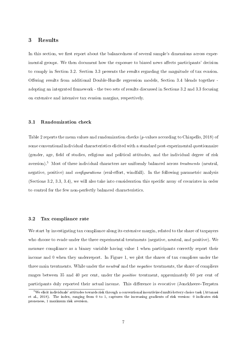### 3 Results

In this section, we first report about the balancedness of several sample's dimensions across experimental groups. We then document how the exposure to biased news affects participants' decision to comply in Section 3.2. Section 3.3 presents the results regarding the magnitude of tax evasion. Offering results from additional Double-Hurdle regression models, Section 3.4 blends together adopting an integrated framework - the two sets of results discussed in Sections 3.2 and 3.3 focusing on extensive and intensive tax evasion margins, respectively.

#### 3.1 Randomization check

Table 2 reports the mean values and randomization checks (p-values according to Chiapello, 2018) of some conventional individual characteristics elicited with a standard post-experimental questionnaire (gender, age, field of studies, religious and political attitudes, and the individual degree of risk aversion).<sup>5</sup> Most of these individual characters are uniformly balanced across *treatments* (neutral negative, positive) and *configurations* (real-effort, windfall). In the following parametric analysis (Sections 3.2, 3.3, 3.4), we will also take into consideration this specific array of covariates in order to control for the few non-perfectly balanced characteristics.

#### 3.2 Tax compliance rate

We start by investigating tax compliance along its extensive margin, related to the share of taxpayers who choose to evade under the three experimental treatments (negative, neutral, and positive). We measure compliance as a binary variable having value 1 when participants correctly report their income and 0 when they underreport. In Figure 1, we plot the shares of tax compliers under the three main treatments. While under the *neutral* and the *negative* treatments, the share of compliers ranges between 35 and 40 per cent, under the *positive* treatment, approximately 60 per cent of participants duly reported their actual income. This difference is evocative (Jonckheere-Terpstra

 $5$ We elicit individuals' attitudes towards risk through a conventional incentivized multi-lottery choice task (Attanasi et al., 2018). The index, ranging from 0 to 1, captures the increasing gradients of risk version: 0 indicates risk proneness, 1 maximum risk aversion.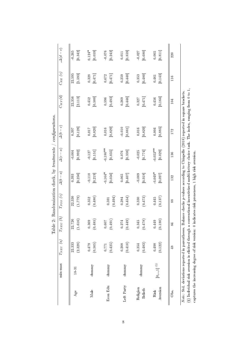| $0.124*$<br>$-0.245$<br>[0.059]<br>0.076<br>[0.342]<br>[0.859]<br>[0.680]<br>[0.242]<br>0.027<br>[0.811]<br>0.005<br>0.011<br>220<br>22.595<br>[1.593]<br>[0.440]<br>[0.480]<br>[0.143]<br>[0.471]<br>0.328<br>[0.471]<br>0.259<br>$0.672\,$<br>0.353<br>0.461<br>116<br>(8) Individual risk aversion is elicited through a conventional incentivized multi-lottery choice task. The index, ranging from 0 to 1,<br>$Note: Set$ deviations reported in parentheses. Balance checks p-values according to Chiapello (2018) reported in square brackets.<br>22.356<br>[2.113]<br>[0.500]<br>[0.493]<br>[0.446]<br>[0.164]<br>0.452<br>[0.471]<br>0.596<br>0.269<br>0.456<br>0.327<br>104<br>[0.128]<br>[0.820]<br>[0.829]<br>$-0.010$<br>[0.829]<br>[0.885]<br>[0.881]<br>$0.017\,$<br>$0.016\,$<br>0.016<br>$0.004\,$<br>0.397<br>172<br>$-0.180**$<br>$-0.052***$<br>[0.029]<br>[0.992]<br>[0.035]<br>$-0.025$<br>$-0.127$<br>[0.338]<br>$-0.004$<br>$[0.151]$<br>0.076<br>[0.774]<br>136<br>$-0.164*$<br>$-0.049*$<br>[0.256]<br>$\textbf{-0.110}$<br>[0.219]<br>[0.056]<br>$-0.009$<br>[0.918]<br>[0.097]<br>$0.065\,$<br>[0.407]<br>0.393<br>132<br>(1.779)<br>(0.480)<br>22.330<br>(0.494)<br>(0.454)<br>(0.473)<br>(0.137)<br>0.352<br>$0.445\,$<br>0.284<br>0.330<br>0.591<br>88<br>(0.180)<br>22.726<br>(1.616)<br>(0.449)<br>(0.478)<br>(0.485)<br>0.369<br>(0.491)<br>0.449<br>0.345<br>0.607<br>0.274<br>84<br>(2.328)<br>(0.410)<br>(0.122)<br>22.333<br>(0.505)<br>(0.425)<br>(0.483)<br>0.479<br>0.498<br>0.208<br>0.354<br>0.771<br>$\frac{8}{3}$<br>$[0,,1]$ $^\mathrm{(S)}$<br>dummy<br>dunnny<br>dunnny<br>dunnny<br>1831<br>Left Party<br>Econ Edu | min-max | $T_{NEU}$ $(a)$ | $T_{NEG}$ (b) | Table 2: Randomization check, by treatments<br>$T_{POS}\left( c\right)$ | $\Delta(b-a)$ | $\Delta(c-a)$ | $\sigma$ configurations.<br>$\Delta(b-c)$ | $C_{WF}(d)$ | $C_{RE}$ (e) | $\Delta(d-e)$ |
|----------------------------------------------------------------------------------------------------------------------------------------------------------------------------------------------------------------------------------------------------------------------------------------------------------------------------------------------------------------------------------------------------------------------------------------------------------------------------------------------------------------------------------------------------------------------------------------------------------------------------------------------------------------------------------------------------------------------------------------------------------------------------------------------------------------------------------------------------------------------------------------------------------------------------------------------------------------------------------------------------------------------------------------------------------------------------------------------------------------------------------------------------------------------------------------------------------------------------------------------------------------------------------------------------------------------------------------------------------------------------------------------------------------------------------------------------------------------------------------------------------------------------------------------------------------------------------------------------------------------------------------------------------------------|---------|-----------------|---------------|-------------------------------------------------------------------------|---------------|---------------|-------------------------------------------|-------------|--------------|---------------|
|                                                                                                                                                                                                                                                                                                                                                                                                                                                                                                                                                                                                                                                                                                                                                                                                                                                                                                                                                                                                                                                                                                                                                                                                                                                                                                                                                                                                                                                                                                                                                                                                                                                                      |         |                 |               |                                                                         |               |               |                                           |             |              |               |
|                                                                                                                                                                                                                                                                                                                                                                                                                                                                                                                                                                                                                                                                                                                                                                                                                                                                                                                                                                                                                                                                                                                                                                                                                                                                                                                                                                                                                                                                                                                                                                                                                                                                      |         |                 |               |                                                                         |               |               |                                           |             |              |               |
|                                                                                                                                                                                                                                                                                                                                                                                                                                                                                                                                                                                                                                                                                                                                                                                                                                                                                                                                                                                                                                                                                                                                                                                                                                                                                                                                                                                                                                                                                                                                                                                                                                                                      |         |                 |               |                                                                         |               |               |                                           |             |              |               |
|                                                                                                                                                                                                                                                                                                                                                                                                                                                                                                                                                                                                                                                                                                                                                                                                                                                                                                                                                                                                                                                                                                                                                                                                                                                                                                                                                                                                                                                                                                                                                                                                                                                                      |         |                 |               |                                                                         |               |               |                                           |             |              |               |
|                                                                                                                                                                                                                                                                                                                                                                                                                                                                                                                                                                                                                                                                                                                                                                                                                                                                                                                                                                                                                                                                                                                                                                                                                                                                                                                                                                                                                                                                                                                                                                                                                                                                      |         |                 |               |                                                                         |               |               |                                           |             |              |               |
|                                                                                                                                                                                                                                                                                                                                                                                                                                                                                                                                                                                                                                                                                                                                                                                                                                                                                                                                                                                                                                                                                                                                                                                                                                                                                                                                                                                                                                                                                                                                                                                                                                                                      |         |                 |               |                                                                         |               |               |                                           |             |              |               |
|                                                                                                                                                                                                                                                                                                                                                                                                                                                                                                                                                                                                                                                                                                                                                                                                                                                                                                                                                                                                                                                                                                                                                                                                                                                                                                                                                                                                                                                                                                                                                                                                                                                                      |         |                 |               |                                                                         |               |               |                                           |             |              |               |
|                                                                                                                                                                                                                                                                                                                                                                                                                                                                                                                                                                                                                                                                                                                                                                                                                                                                                                                                                                                                                                                                                                                                                                                                                                                                                                                                                                                                                                                                                                                                                                                                                                                                      |         |                 |               |                                                                         |               |               |                                           |             |              |               |
|                                                                                                                                                                                                                                                                                                                                                                                                                                                                                                                                                                                                                                                                                                                                                                                                                                                                                                                                                                                                                                                                                                                                                                                                                                                                                                                                                                                                                                                                                                                                                                                                                                                                      |         |                 |               |                                                                         |               |               |                                           |             |              |               |
|                                                                                                                                                                                                                                                                                                                                                                                                                                                                                                                                                                                                                                                                                                                                                                                                                                                                                                                                                                                                                                                                                                                                                                                                                                                                                                                                                                                                                                                                                                                                                                                                                                                                      |         |                 |               |                                                                         |               |               |                                           |             |              |               |
|                                                                                                                                                                                                                                                                                                                                                                                                                                                                                                                                                                                                                                                                                                                                                                                                                                                                                                                                                                                                                                                                                                                                                                                                                                                                                                                                                                                                                                                                                                                                                                                                                                                                      |         |                 |               |                                                                         |               |               |                                           |             |              |               |
|                                                                                                                                                                                                                                                                                                                                                                                                                                                                                                                                                                                                                                                                                                                                                                                                                                                                                                                                                                                                                                                                                                                                                                                                                                                                                                                                                                                                                                                                                                                                                                                                                                                                      |         |                 |               |                                                                         |               |               |                                           |             |              |               |
|                                                                                                                                                                                                                                                                                                                                                                                                                                                                                                                                                                                                                                                                                                                                                                                                                                                                                                                                                                                                                                                                                                                                                                                                                                                                                                                                                                                                                                                                                                                                                                                                                                                                      |         |                 |               |                                                                         |               |               |                                           |             |              |               |
|                                                                                                                                                                                                                                                                                                                                                                                                                                                                                                                                                                                                                                                                                                                                                                                                                                                                                                                                                                                                                                                                                                                                                                                                                                                                                                                                                                                                                                                                                                                                                                                                                                                                      |         |                 |               |                                                                         |               |               |                                           |             |              |               |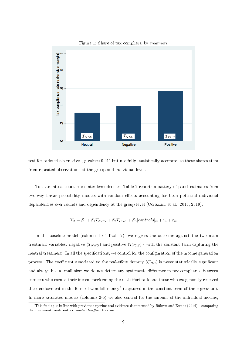

Figure 1: Share of tax compliers, by treatmets

test for ordered alternatives,  $p$ -value $< 0.01$ ) but not fully statistically accurate, as these shares stem from repeated observations at the group and individual level.

To take into account such interdependencies, Table 2 reports a battery of panel estimates from two-way linear probability models with random effects accounting for both potential individual dependencies over rounds and dependency at the group level (Corazzini et al., 2015, 2019).

$$
Y_{it} = \beta_0 + \beta_1 T_{NEG} + \beta_2 T_{POS} + \beta_n [controls]_{it} + v_i + \varepsilon_{it}
$$

In the baseline model (column 1 of Table 2), we regress the outcome against the two main treatment variables: negative  $(T_{NEG})$  and positive  $(T_{POS})$  - with the constant term capturing the neutral treatment. In all the specifications, we control for the configuration of the income generation process. The coefficient associated to the real-effort dummy  $(C_{RE})$  is never statistically significant and always has a small size: we do not detect any systematic difference in tax compliance between subjects who earned their income performing the real-effort task and those who exogenously received their endowment in the form of windfall money<sup>6</sup> (captured in the constant term of the regression). In more saturated models (columns 2-5) we also control for the amount of the individual income.

 $6$ This finding is in line with previous experimental evidence documented by Bühren and Kundt (2014) - comparing their endowed treatment vs. moderate-effort treatment.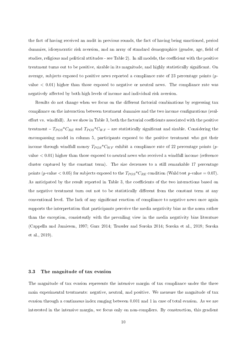the fact of having received an audit in previous rounds, the fact of having being sanctioned, period dummies, idiosyncratic risk aversion, and an array of standard demographics (gender, age, field of studies, religious and political attitudes - see Table 2). In all models, the coefficient with the positive treatment turns out to be positive, sizable in its magnitude, and highly statistically signicant. On average, subjects exposed to positive news reported a compliance rate of 23 percentage points  $(p$ value  $< 0.01$ ) higher than those exposed to negative or neutral news. The compliance rate was negatively affected by both high levels of income and individual risk aversion.

Results do not change when we focus on the different factorial combinations by regressing tax compliance on the interaction between treatment dummies and the two income congurations (realeffort vs. windfall). As we show in Table 3, both the factorial coefficients associated with the positive treatment  $- T_{POS} C_{RE}$  and  $T_{POS} C_{WF}$  – are statistically significant and sizable. Considering the encompassing model in column 5, participants exposed to the positive treatment who got their income through windfall money  $T_{POS}$ <sup>\*</sup> $C_{WF}$  exhibit a compliance rate of 22 percentage points (pvalue < 0.01) higher than those exposed to neutral news who received a windfall income (reference cluster captured by the constant term). The size decreases to a still remarkable 17 percentage points (p-value  $< 0.05$ ) for subjects exposed to the  $T_{POS}$ <sup>\*</sup> $C_{RE}$  condition (Wald test p-value = 0.07). As anticipated by the result reported in Table 3, the coefficients of the two interactions based on the negative treatment turn out not to be statistically different from the constant term at any conventional level. The lack of any signicant reaction of compliance to negative news once again supports the interpretation that participants perceive the media negativity bias as the norm rather than the exception, consistently with the prevailing view in the media negativity bias literature (Cappella and Jamieson, 1997; Garz 2014; Trussler and Soroka 2014; Soroka et al., 2018; Soroka et al., 2019).

#### 3.3 The magnitude of tax evasion

The magnitude of tax evasion represents the intensive margin of tax compliance under the three main experimental treatments: negative, neutral, and positive. We measure the magnitude of tax evasion through a continuous index ranging between 0.001 and 1 in case of total evasion. As we are interested in the intensive margin, we focus only on non-compliers. By construction, this gradient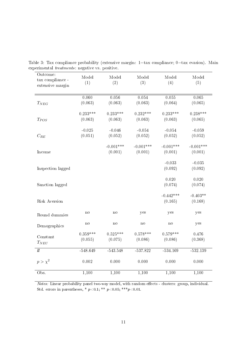| Outcome:<br>tax compliance -<br>extensive margin | Model<br>(1) | Model<br>(2) | Model<br>(3) | Model<br>(4) | Model<br>(5) |
|--------------------------------------------------|--------------|--------------|--------------|--------------|--------------|
|                                                  |              |              |              |              |              |
|                                                  | 0.060        | 0.056        | 0.054        | 0.055        | 0.065        |
| $T_{NEG}$                                        | (0.063)      | (0.063)      | (0.063)      | (0.064)      | (0.065)      |
|                                                  | $0.233***$   | $0.233***$   | $0.232***$   | $0.233***$   | $0.238***$   |
| $T_{POS}$                                        | (0.063)      | (0.063)      | (0.063)      | (0.063)      | (0.065)      |
|                                                  | $-0.025$     | $-0.046$     | $-0.054$     | $-0.054$     | $-0.059$     |
| $C_{RE}$                                         | (0.051)      | (0.052)      | (0.052)      | (0.052)      | (0.052)      |
|                                                  |              | $-0.001***$  | $-0.001***$  | $-0.001***$  | $-0.001***$  |
| Income                                           |              | (0.001)      | (0.001)      | (0.001)      | (0.001)      |
|                                                  |              |              |              | $-0.033$     | $-0.035$     |
| Inspection lagged                                |              |              |              | (0.092)      | (0.092)      |
|                                                  |              |              |              | 0.020        | 0.020        |
| Sanction lagged                                  |              |              |              | (0.074)      | (0.074)      |
|                                                  |              |              |              | $-0.442***$  | $-0.403**$   |
| Risk Aversion                                    |              |              |              | (0.165)      | (0.168)      |
| Round dummies                                    | $\mathbf{n}$ | $\mathbf{n}$ | yes          | yes          | yes          |
| Demographics                                     | no           | no           | $\mathbf{n}$ | $\mathbf{n}$ | yes          |
|                                                  | $0.359***$   | $0.525***$   | $0.578***$   | $0.579***$   | 0.476        |
| Constant<br>$T_{NEU}$                            | (0.055)      | (0.075)      | (0.086)      | (0.086)      | (0.368)      |
| $\overline{ll}$                                  | $-548.649$   | $-543.548$   | $-537.822$   | $-534.169$   | $-532.139$   |
| $p > \chi^2$                                     | 0.002        | 0.000        | 0.000        | 0.000        | 0.000        |
| Obs.                                             | 1,100        | 1,100        | 1,100        | 1,100        | 1,100        |

Table 3: Tax compliance probability (extensive margin: 1=tax compliance; 0=tax evasion). Main experimental treatments: negative vs. positive.

Notes: Linear probability panel two-way model, with random effects - clusters: group, individual. Std. errors in parentheses, \*  $p < 0.1$ ; \*\*  $p < 0.05$ ; \*\*\* $p < 0.01$ .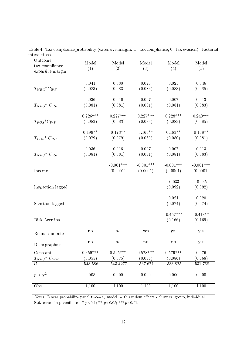| tax compliance -<br>(1)<br>(4)<br>(5)<br>(2)<br>(3)<br>extensive margin<br>0.041<br>0.030<br>0.025<br>0.025<br>$T_{NEG}$ <sup>*</sup> $C_{WF}$<br>(0.083)<br>(0.083)<br>(0.083)<br>(0.083)<br>0.036<br>0.016<br>0.007<br>0.007<br>(0.081)<br>(0.081)<br>$T_{NEG}$ <sup>*</sup> $C_{RE}$<br>(0.081)<br>(0.081)<br>(0.083)<br>$0.226***$<br>$0.227***$<br>$0.227***$<br>$0.228***$<br>$T_{POS}$ <sup>*</sup> $C_{WF}$<br>(0.083)<br>(0.083)<br>(0.083)<br>(0.083)<br>(0.085)<br>$0.199**$<br>$0.173**$<br>$0.163**$<br>$0.163**$<br>(0.079)<br>(0.079)<br>(0.080)<br>(0.080)<br>(0.081)<br>$T_{POS}$ <sup>*</sup> $C_{RE}$<br>0.036<br>0.016<br>0.007<br>0.007<br>(0.081)<br>(0.081)<br>(0.081)<br>(0.081)<br>$T_{NEU}$ <sup>*</sup> $C_{RE}$<br>$-0.001***$<br>$-0.001***$<br>$-0.001***$<br>(0.0001)<br>(0.0001)<br>(0.0001)<br>Income<br>$-0.033$<br>(0.092)<br>Inspection lagged<br>0.021<br>(0.074)<br>Sanction lagged<br>$-0.457***$<br>Risk Aversion<br>(0.166)<br>yes<br>$\mathbf{n}$<br>$\mathbf{n}$<br>yes<br>yes<br>Round dummies<br>no<br>no<br>$\mathop{\mathrm{no}}$<br>$\operatorname{no}$<br>yes<br>Demographics<br>$0.359***$<br>$0.525***$<br>$0.578***$<br>$0.579***$<br>Constant<br>$T_{NEU}{}^*\,\,C_{WF}$<br>(0.055)<br>(0.075)<br>(0.086)<br>(0.086)<br>ll<br>$-548.586$<br>$-543.4277$<br>$-537.671$<br>$-533.825$<br>$p > \chi^2$<br>0.008<br>0.000<br>0.000<br>0.000 | Outcome: | Model | Model | Model | Model | Model       |
|----------------------------------------------------------------------------------------------------------------------------------------------------------------------------------------------------------------------------------------------------------------------------------------------------------------------------------------------------------------------------------------------------------------------------------------------------------------------------------------------------------------------------------------------------------------------------------------------------------------------------------------------------------------------------------------------------------------------------------------------------------------------------------------------------------------------------------------------------------------------------------------------------------------------------------------------------------------------------------------------------------------------------------------------------------------------------------------------------------------------------------------------------------------------------------------------------------------------------------------------------------------------------------------------------------------------------------------------------------------------------------------------|----------|-------|-------|-------|-------|-------------|
|                                                                                                                                                                                                                                                                                                                                                                                                                                                                                                                                                                                                                                                                                                                                                                                                                                                                                                                                                                                                                                                                                                                                                                                                                                                                                                                                                                                              |          |       |       |       |       |             |
|                                                                                                                                                                                                                                                                                                                                                                                                                                                                                                                                                                                                                                                                                                                                                                                                                                                                                                                                                                                                                                                                                                                                                                                                                                                                                                                                                                                              |          |       |       |       |       | 0.046       |
|                                                                                                                                                                                                                                                                                                                                                                                                                                                                                                                                                                                                                                                                                                                                                                                                                                                                                                                                                                                                                                                                                                                                                                                                                                                                                                                                                                                              |          |       |       |       |       | (0.085)     |
|                                                                                                                                                                                                                                                                                                                                                                                                                                                                                                                                                                                                                                                                                                                                                                                                                                                                                                                                                                                                                                                                                                                                                                                                                                                                                                                                                                                              |          |       |       |       |       | 0.013       |
|                                                                                                                                                                                                                                                                                                                                                                                                                                                                                                                                                                                                                                                                                                                                                                                                                                                                                                                                                                                                                                                                                                                                                                                                                                                                                                                                                                                              |          |       |       |       |       |             |
|                                                                                                                                                                                                                                                                                                                                                                                                                                                                                                                                                                                                                                                                                                                                                                                                                                                                                                                                                                                                                                                                                                                                                                                                                                                                                                                                                                                              |          |       |       |       |       | $0.240***$  |
|                                                                                                                                                                                                                                                                                                                                                                                                                                                                                                                                                                                                                                                                                                                                                                                                                                                                                                                                                                                                                                                                                                                                                                                                                                                                                                                                                                                              |          |       |       |       |       |             |
|                                                                                                                                                                                                                                                                                                                                                                                                                                                                                                                                                                                                                                                                                                                                                                                                                                                                                                                                                                                                                                                                                                                                                                                                                                                                                                                                                                                              |          |       |       |       |       | $0.168**$   |
|                                                                                                                                                                                                                                                                                                                                                                                                                                                                                                                                                                                                                                                                                                                                                                                                                                                                                                                                                                                                                                                                                                                                                                                                                                                                                                                                                                                              |          |       |       |       |       |             |
|                                                                                                                                                                                                                                                                                                                                                                                                                                                                                                                                                                                                                                                                                                                                                                                                                                                                                                                                                                                                                                                                                                                                                                                                                                                                                                                                                                                              |          |       |       |       |       | 0.013       |
|                                                                                                                                                                                                                                                                                                                                                                                                                                                                                                                                                                                                                                                                                                                                                                                                                                                                                                                                                                                                                                                                                                                                                                                                                                                                                                                                                                                              |          |       |       |       |       | (0.083)     |
|                                                                                                                                                                                                                                                                                                                                                                                                                                                                                                                                                                                                                                                                                                                                                                                                                                                                                                                                                                                                                                                                                                                                                                                                                                                                                                                                                                                              |          |       |       |       |       | $-0.001***$ |
|                                                                                                                                                                                                                                                                                                                                                                                                                                                                                                                                                                                                                                                                                                                                                                                                                                                                                                                                                                                                                                                                                                                                                                                                                                                                                                                                                                                              |          |       |       |       |       | (0.0001)    |
|                                                                                                                                                                                                                                                                                                                                                                                                                                                                                                                                                                                                                                                                                                                                                                                                                                                                                                                                                                                                                                                                                                                                                                                                                                                                                                                                                                                              |          |       |       |       |       | $-0.035$    |
|                                                                                                                                                                                                                                                                                                                                                                                                                                                                                                                                                                                                                                                                                                                                                                                                                                                                                                                                                                                                                                                                                                                                                                                                                                                                                                                                                                                              |          |       |       |       |       | (0.092)     |
|                                                                                                                                                                                                                                                                                                                                                                                                                                                                                                                                                                                                                                                                                                                                                                                                                                                                                                                                                                                                                                                                                                                                                                                                                                                                                                                                                                                              |          |       |       |       |       | 0.020       |
|                                                                                                                                                                                                                                                                                                                                                                                                                                                                                                                                                                                                                                                                                                                                                                                                                                                                                                                                                                                                                                                                                                                                                                                                                                                                                                                                                                                              |          |       |       |       |       | (0.074)     |
|                                                                                                                                                                                                                                                                                                                                                                                                                                                                                                                                                                                                                                                                                                                                                                                                                                                                                                                                                                                                                                                                                                                                                                                                                                                                                                                                                                                              |          |       |       |       |       | $-0.418**$  |
|                                                                                                                                                                                                                                                                                                                                                                                                                                                                                                                                                                                                                                                                                                                                                                                                                                                                                                                                                                                                                                                                                                                                                                                                                                                                                                                                                                                              |          |       |       |       |       | (0.169)     |
|                                                                                                                                                                                                                                                                                                                                                                                                                                                                                                                                                                                                                                                                                                                                                                                                                                                                                                                                                                                                                                                                                                                                                                                                                                                                                                                                                                                              |          |       |       |       |       |             |
|                                                                                                                                                                                                                                                                                                                                                                                                                                                                                                                                                                                                                                                                                                                                                                                                                                                                                                                                                                                                                                                                                                                                                                                                                                                                                                                                                                                              |          |       |       |       |       |             |
|                                                                                                                                                                                                                                                                                                                                                                                                                                                                                                                                                                                                                                                                                                                                                                                                                                                                                                                                                                                                                                                                                                                                                                                                                                                                                                                                                                                              |          |       |       |       |       | 0.476       |
|                                                                                                                                                                                                                                                                                                                                                                                                                                                                                                                                                                                                                                                                                                                                                                                                                                                                                                                                                                                                                                                                                                                                                                                                                                                                                                                                                                                              |          |       |       |       |       | (0.368)     |
|                                                                                                                                                                                                                                                                                                                                                                                                                                                                                                                                                                                                                                                                                                                                                                                                                                                                                                                                                                                                                                                                                                                                                                                                                                                                                                                                                                                              |          |       |       |       |       | $-531.768$  |
|                                                                                                                                                                                                                                                                                                                                                                                                                                                                                                                                                                                                                                                                                                                                                                                                                                                                                                                                                                                                                                                                                                                                                                                                                                                                                                                                                                                              |          |       |       |       |       | 0.000       |
|                                                                                                                                                                                                                                                                                                                                                                                                                                                                                                                                                                                                                                                                                                                                                                                                                                                                                                                                                                                                                                                                                                                                                                                                                                                                                                                                                                                              | Obs.     | 1,100 | 1,100 | 1,100 | 1,100 | 1,100       |

Table 4: Tax compliance probability (extensive margin: 1=tax compliance; 0=tax evasion). Factorial interactions.

Notes: Linear probability panel two-way model, with random effects - clusters: group, individual. Std. errors in parentheses, \* $p\!<\!0.1;$  \*\*  $p\!<\!0.05;$  \*\*\* $p\!<\!0.01.$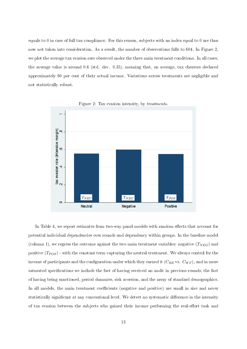equals to 0 in case of full tax compliance. For this reason, subjects with an index equal to 0 are thus now not taken into consideration. As a result, the number of observations falls to 604. In Figure 2, we plot the average tax evasion rate observed under the three main treatment conditions. In all cases, the average value is around 0.6 (std. dev. 0.35), meaning that, on average, tax cheaters declared approximately 60 per cent of their actual income. Variations across treatments are negligible and not statistically robust.



Figure 2: Tax evasion intensity, by treatments.

In Table 4, we report estimates from two-way panel models with random effects that account for potential individual dependencies over rounds and dependency within groups. In the baseline model (column 1), we regress the outcome against the two main treatment variables: negative  $(T_{NEG})$  and positive  $(T_{POS})$  - with the constant term capturing the neutral treatment. We always control for the income of participants and the configuration under which they earned it  $(C_{RE}$  vs.  $C_{WF}$ ), and in more saturated specifications we include the fact of having received an audit in previous rounds, the fact of having being sanctioned, period dummies, risk aversion, and the array of standard demographics. In all models, the main treatment coefficients (negative and positive) are small in size and never statistically significant at any conventional level. We detect no systematic difference in the intensity of tax evasion between the subjects who gained their income performing the real-effort task and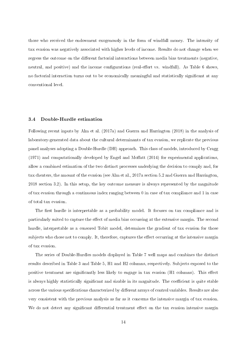those who received the endowment exogenously in the form of windfall money. The intensity of tax evasion was negatively associated with higher levels of income. Results do not change when we regress the outcome on the different factorial interactions between media bias treatments (negative, neutral, and positive) and the income configurations (real-effort vs. windfall). As Table 6 shows, no factorial interaction turns out to be economically meaningful and statistically signicant at any conventional level.

#### 3.4 Double-Hurdle estimation

Following recent inputs by Alm et al. (2017a) and Guerra and Harrington (2018) in the analysis of laboratory-generated data about the cultural determinants of tax evasion, we replicate the previous panel analyses adopting a Double-Hurdle (DH) approach. This class of models, introduced by Cragg  $(1971)$  and computationally developed by Engel and Moffatt  $(2014)$  for experimental applications, allow a combined estimation of the two distinct processes underlying the decision to comply and, for tax cheaters, the amount of the evasion (see Alm et al., 2017a section 5.2 and Guerra and Harrington, 2018 section 3.2). In this setup, the key outcome measure is always represented by the magnitude of tax evasion through a continuous index ranging between 0 in case of tax compliance and 1 in case of total tax evasion.

The first hurdle is interpretable as a probability model. It focuses on tax compliance and is particularly suited to capture the effect of media bias occurring at the extensive margin. The second hurdle, interpretable as a censored Tobit model, determines the gradient of tax evasion for those subjects who chose not to comply. It, therefore, captures the effect occurring at the intensive margin of tax evasion.

The series of Double-Hurdles models displayed in Table 7 well maps and combines the distinct results described in Table 3 and Table 5, H1 and H2 columns, respectively. Subjects exposed to the positive treatment are significantly less likely to engage in tax evasion (H1 columns). This effect is always highly statistically significant and sizable in its magnitude. The coefficient is quite stable across the various specifications characterized by different arrays of control variables. Results are also very consistent with the previous analysis as far as it concerns the intensive margin of tax evasion. We do not detect any significant differential treatment effect on the tax evasion intensive margin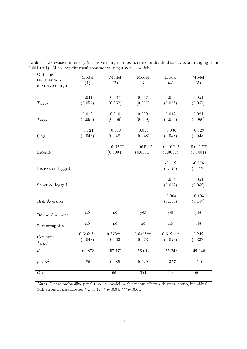| Outcome:<br>$\tan$ evasion -<br>intensive margin | Model<br>(1) | Model<br>(2) | Model<br>(3) | Model<br>(4)   | Model<br>(5) |
|--------------------------------------------------|--------------|--------------|--------------|----------------|--------------|
|                                                  |              |              |              |                |              |
|                                                  | 0.041        | 0.037        | 0.037        | 0.038          | 0.051        |
| $T_{NEG}$                                        | (0.057)      | (0.057)      | (0.057)      | (0.056)        | (0.057)      |
|                                                  |              |              |              |                |              |
|                                                  | $0.013\,$    | 0.010        | 0.009        | $0.012\,$      | 0.021        |
| $T_{POS}$                                        | (0.060)      | (0.059)      | (0.059)      | (0.059)        | (0.060)      |
|                                                  |              |              |              |                |              |
|                                                  | $-0.024$     | $-0.038$     | $-0.035$     | $-0.036$       | $-0.023$     |
| $C_{RE}$                                         | (0.048)      | (0.048)      | (0.048)      | (0.048)        | (0.048)      |
|                                                  |              |              |              |                |              |
|                                                  |              | $-0.001***$  | $-0.001***$  | $-0.001***$    | $-0.001***$  |
| Income                                           |              | (0.0001)     | (0.0001)     | (0.0001)       | (0.0001)     |
|                                                  |              |              |              | $-0.119$       | $-0.076$     |
| Inspection lagged                                |              |              |              | (0.179)        | (0.177)      |
|                                                  |              |              |              |                |              |
|                                                  |              |              |              | 0.054          | 0.051        |
| Sanction lagged                                  |              |              |              | (0.052)        | (0.052)      |
|                                                  |              |              |              |                |              |
|                                                  |              |              |              | $-0.004$       | $-0.103$     |
| Risk Aversion                                    |              |              |              | (0.156)        | (0.157)      |
|                                                  |              |              |              |                |              |
| Round dummies                                    | $\rm{no}$    | $\mathbf{n}$ | yes          | yes            | yes          |
|                                                  |              |              |              |                |              |
| Demographics                                     | $\mathbf{n}$ | $\mathbf{n}$ | $\mathbf{n}$ | $\mathbf{n}$ o | yes          |
|                                                  | $0.546***$   | $0.673***$   | $0.645***$   | $0.649***$     | 0.242        |
| Constant                                         | (0.043)      | (0.063)      | (0.073)      | (0.073)        | (0.337)      |
| $T_{NEU}$                                        |              |              |              |                |              |
| $\overline{ll}$                                  | $-60.873$    | $-57.171$    | $-56.012$    | $-55.248$      | $-49.946$    |
|                                                  |              |              |              |                |              |
| $p > \chi^2$                                     | 0.869        | 0.085        | 0.229        | 0.357          | 0.110        |
|                                                  |              |              |              |                |              |
| Obs.                                             | 604          | 604          | 604          | 604            | 604          |
|                                                  |              |              |              |                |              |

Table 5: Tax evasion intensity (intensive margin index: share of individual tax evasion, ranging from 0.001 to 1). Main experimental treatments: negative vs. positive.

Notes: Linear probability panel two-way model, with random effects - clusters: group, individual. Std. errors in parentheses, \* $p\!<\!0.1;$ \*\* $p\!<\!0.05;$ \*\*\* $p\!<\!0.01.$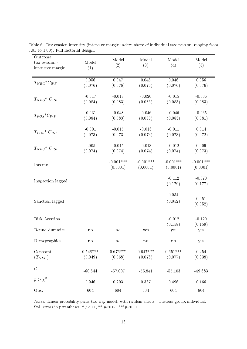| Outcome:<br>tax evasion -       | Model                 | Model                   | Model                   | Model                   | Model                   |
|---------------------------------|-----------------------|-------------------------|-------------------------|-------------------------|-------------------------|
| intensive margin                | (1)                   | (2)                     | (3)                     | (4)                     | (5)                     |
| $T_{NEG}$ <sup>*</sup> $C_{WF}$ | 0.056<br>(0.076)      | 0.047<br>(0.076)        | 0.046<br>(0.076)        | 0.046<br>(0.076)        | 0.056<br>(0.076)        |
| $T_{NEG}$ <sup>*</sup> $C_{RE}$ | $-0.017$<br>(0.084)   | $-0.018$<br>(0.083)     | $-0.020$<br>(0.083)     | $-0.015$<br>(0.083)     | $-0.006$<br>(0.083)     |
| $T_{POS}$ <sup>*</sup> $C_{WF}$ | $-0.031$<br>(0.084)   | $-0.048$<br>(0.083)     | $-0.046$<br>(0.083)     | $-0.046$<br>(0.083)     | $-0.035$<br>(0.081)     |
| $T_{POS}$ <sup>*</sup> $C_{RE}$ | $-0.001$<br>(0.073)   | $-0.015$<br>(0.073)     | $-0.013$<br>(0.073)     | $-0.011$<br>(0.073)     | 0.014<br>(0.072)        |
| $T_{NEU}$ <sup>*</sup> $C_{RE}$ | 0.005<br>(0.074)      | $-0.015$<br>(0.074)     | $-0.013$<br>(0.074)     | $-0.012$<br>(0.074)     | 0.009<br>(0.073)        |
| Income                          |                       | $-0.001***$<br>(0.0001) | $-0.001***$<br>(0.0001) | $-0.001***$<br>(0.0001) | $-0.001***$<br>(0.0001) |
| Inspection lagged               |                       |                         |                         | $-0.112$<br>(0.179)     | $-0.070$<br>(0.177)     |
| Sanction lagged                 |                       |                         |                         | 0.054<br>(0.052)        | 0.051<br>(0.052)        |
| Risk Aversion                   |                       |                         |                         | $-0.012$<br>(0.158)     | $-0.120$<br>(0.159)     |
| Round dummies                   | $\mathbf{n}$          | $\mathbf{n}$            | yes                     | yes                     | yes                     |
| Demographics                    | $\mathbf{n}$          | no                      | no                      | no                      | yes                     |
| Constant<br>$(T_{NEU})$         | $0.548***$<br>(0.049) | $0.676***$<br>(0.068)   | $0.647***$<br>(0.078)   | $0.651***$<br>(0.077)   | 0.254<br>(0.338)        |
| $\overline{u}$                  | $-60.644$             | $-57.007$               | $-55.841$               | $-55.103$               | $-49.683$               |
| $p > \chi^2$                    | 0.946                 | 0.203                   | 0.367                   | 0.496                   | 0.166                   |
| Obs.                            | 604                   | 604                     | 604                     | 604                     | 604                     |

Table 6: Tax evasion intensity (intensive margin index: share of individual tax evasion, ranging from 0.01 to 1.00). Full factorial design.

Notes: Linear probability panel two-way model, with random effects - clusters: group, individual. Std. errors in parentheses, \*  $p<0.1$ ; \*\*  $p<0.05$ ; \*\*\* $p<0.01$ .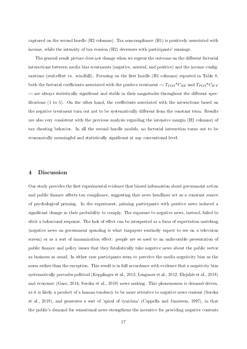captured on the second hurdle (H2 columns). Tax noncompliance (H1) is positively associated with income, while the intensity of tax evasion (H2) decreases with participants' earnings.

The general result picture does not change when we regress the outcome on the different factorial interactions between media bias treatments (negative, neutral, and positive) and the income congurations (real-effort vs. windfall). Focusing on the first hurdle (H1 columns) reported in Table 8, both the factorial coefficients associated with the positive treatment  $-T_{POS}$ <sup>\*</sup>C<sub>RE</sub> and  $T_{POS}$ <sup>\*</sup>C<sub>WF</sub> — are always statistically significant and stable in their magnitudes throughout the different specifications  $(1 \text{ to } 5)$ . On the other hand, the coefficients associated with the interactions based on the negative treatment turn out not to be systematically different from the constant term. Results are also very consistent with the previous analysis regarding the intensive margin (H2 columns) of tax cheating behavior. In all the second hurdle models, no factorial interaction turns out to be economically meaningful and statistically significant at any conventional level.

#### 4 Discussion

Our study provides the first experimental evidence that biased information about government action and public finance affects tax compliance, suggesting that news headlines act as a constant source of psychological priming. In the experiment, priming participants with positive news induced a significant change in their probability to comply. The exposure to negative news, instead, failed to elicit a behavioral response. The lack of effect can be interpreted as a form of expectation matching (negative news on government spending is what taxpayers routinely expect to see on a television screen) or as a sort of immunization effect: people are so used to an unfavorable presentation of public nance and policy issues that they fatalistically take negative news about the public sector as business as usual. In either case participants seem to perceive the media negativity bias as the norm rather than the exception. This result is in full accordance with evidence that a negativity bias systematically pervades political (Kepplinger et al., 2012; Lengauer et al., 2012; Elejalde et al., 2018) and economic (Garz, 2014; Soroka et al., 2018) news making. This phenomenon is demand-driven, as it is likely a product of a human tendency to be more attentive to negative news content (Soroka et al., 2019), and generates a sort of 'spiral of cynicism' (Cappella and Jamieson, 1997), in that the public's demand for sensational news strengthens the incentive for providing negative contents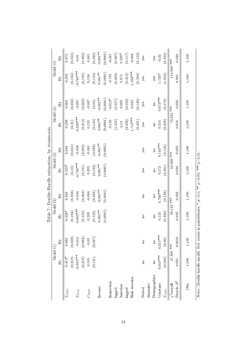|                       |              |                |                                                                                                                    |                | Table 7: Double-Hurdle estimation, by treatments. |                |                      |                         |             |                |
|-----------------------|--------------|----------------|--------------------------------------------------------------------------------------------------------------------|----------------|---------------------------------------------------|----------------|----------------------|-------------------------|-------------|----------------|
|                       | Model (1)    |                | Model (2)                                                                                                          |                | Model (3)                                         |                | Model (4)            |                         | Model (5)   |                |
|                       | $\Xi$        | H <sub>2</sub> | $\Xi$                                                                                                              | H <sub>2</sub> | $\Xi$                                             | H <sub>2</sub> | $\Xi$                | H <sub>2</sub>          | $\Xi$       | H <sub>2</sub> |
| $T_{NEG}$             | $-0.413*$    | 0.068          | $-0.336*$                                                                                                          | 0.048          | $-0.325*$                                         | 0.046          | $-0.296$             | 0.063                   | $-0.282$    | 0.075          |
|                       | (0.218)      | (0.059)        | (0.184)                                                                                                            | (0.056)        | $\left(0.18\right)$                               | (0.055)        | $\left( 0.21\right)$ | (0.056)                 | (0.195)     | (0.055)        |
| $T_{POS}$             | $-0.883***$  | $-0.012$       | $-0.803***$                                                                                                        | $-0.034$       | $0.798***$                                        | $-0.036$       | $0.820***$           | $-0.007$                | $0.760***$  | $0.01\,$       |
|                       | (0.218)      | (0.064)        | (0.183)                                                                                                            | (0.062)        | (0.181)                                           | (0.062)        | (0.212)              | (0.062)                 | (0.198)     | (0.062)        |
| $C_{RET}$             | $0.105\,$    | $0.03\,$       | 0.202                                                                                                              | $-0.064$       | $\!0.203$                                         | $-0.061$       | 0.133                | $-0.047$                | 0.134       | $-0.041$       |
|                       | (0.121)      | (0.047)        | (0.132)                                                                                                            | (0.048)        | (0.134)                                           | (0.049)        | (0.144)              | (0.05)                  | (0.135)     | (0.046)        |
| Income                |              |                | $0.001***$                                                                                                         | $-0.001**$     | $0.001**$                                         | $0.001**$      | $0.001***$           | $0.001***$              | $0.001***$  | $0.001**$      |
|                       |              |                | (0.0001)                                                                                                           | (0.0001)       | (0.0001)                                          | (0.0001)       | (0.0001)             | (0.0001)                | (0.0001)    | (0.0001)       |
| Inspection            |              |                |                                                                                                                    |                |                                                   |                | $-0.149$             | $-0.612*$               | $-0.705$    | $-0.347$       |
| lagged                |              |                |                                                                                                                    |                |                                                   |                | (1.335)              | (0.357)                 | (0.802)     | (0.367)        |
| Sanction              |              |                |                                                                                                                    |                |                                                   |                | 5.13                 | 0.093                   | 0.675       | $0.220*$       |
| lagged                |              |                |                                                                                                                    |                |                                                   |                | (9.436)              | (0.102)                 | (0.412)     | (0.117)        |
| Risk aversion         |              |                |                                                                                                                    |                |                                                   |                | $1.713***$           | 0.043                   | $.564***$   | $-0.004$       |
|                       |              |                |                                                                                                                    |                |                                                   |                | (0.421)              | (0.148)                 | (0.384)     | (0.154)        |
| Period                | $\mathbf{a}$ | $\mathbf{a}$   | $\mathbf{a}$                                                                                                       | $\mathbf{a}$   | yes                                               | yes            | yes                  | yes                     | yes         | yes            |
| dummies               |              |                |                                                                                                                    |                |                                                   |                |                      |                         |             |                |
| Demographics          | $\mathbf{a}$ | $\mathbf{a}$   | $\overline{\mathbf{a}}$                                                                                            | $\mathbf{a}$   | $\mathbf{a}$                                      | $\overline{a}$ | $\mathbf{a}$         | $\overline{\mathbf{a}}$ | yes         | yes            |
| Constant              | $0.919***$   | $0.415***$     | 0.135                                                                                                              | $0.766***$     | 0.172                                             | $0.74***$      | 0.514                | $0.673***$              | $1.736*$    | $-0.22$        |
| $T_{XBU}$             | (0.228)      | (0.06)         | (0.328)                                                                                                            | (0.129)        | (0.381)                                           | (0.156)        | (0.438)              | (0.170)                 | (1.054)     | (0.332)        |
| $\chi^2$ overall      | 37.801 ***   |                | 49.123 ***                                                                                                         |                | 52.060 ***                                        |                |                      | 72.235 ***              | 118.080 *** |                |
| Pseudo $\mathbb{R}^2$ | 0.031        | 0.0216         | 0.032                                                                                                              | 0.022          | 0.034                                             | 0.023          | 0.058                | 0.042                   | 0.061       | 0.048          |
| Obs.                  | 1,100        | $1,100$        | $1,100$                                                                                                            | 1,100          | $1,100$                                           | 1,100          | 1,100                | 1,100                   | 1,100       | 1,100          |
|                       |              |                | <i>Notes:</i> Double-hurdle model. Std. errors in parentheses, $* p \lt 0.1$ ; $** p \lt 0.05$ , $** p \lt 0.01$ . |                |                                                   |                |                      |                         |             |                |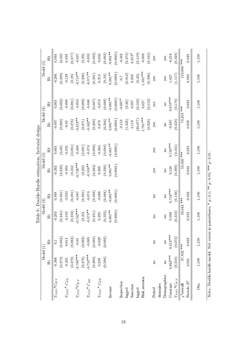|                          | Model (1)    |                         | Model (2)    | Table 8: Double-Hurdle estimation, factorial design | Model                                                                                                          | ි              | Model (4)    |              | Model       | $\widetilde{\mathbf{e}}$ |
|--------------------------|--------------|-------------------------|--------------|-----------------------------------------------------|----------------------------------------------------------------------------------------------------------------|----------------|--------------|--------------|-------------|--------------------------|
|                          | H            | H <sub>2</sub>          | H            | H <sub>2</sub>                                      | H                                                                                                              | H <sub>2</sub> | $H_1$        | H2           | $H_1$       | H <sub>2</sub>           |
|                          |              |                         |              |                                                     |                                                                                                                |                |              |              |             |                          |
| $T_{NEG}$ * $C_{WF}$     | 0.366        | $\overline{0}$ .        | 0.283        | 0.068                                               | $-0.262$                                                                                                       | 0.063          | 0.097        | 0.063        | $-0.206$    | 0.094                    |
|                          | (0.273)      | (0.084)                 | (0.245)      | (0.081)                                             | (0.239)                                                                                                        | (0.08)         | (0.269)      | (0.082)      | (0.289)     | (0.08)                   |
| $T_{NEG}$ * $C_{RE}$     | $-0.241$     | $0.013\,$               | $-0.102$     | $-0.033$                                            | 0.093                                                                                                          | $-0.031$       | $-0.03$      | 0.008        | $-0.128$    | 0.024                    |
|                          | (0.279)      | (0.084)                 | (0.259)      | (0.081)                                             | (0.252)                                                                                                        | (0.081)        | (0.276)      | (0.081)      | (0.28)      | (770.077)                |
| $T_{POS}$ * $C_{WF}$     | $-0.794***$  | $-0.05$                 | $-0.742***$  | $-0.067$                                            | $0.736***$                                                                                                     | 0.068          | $-0.618**$   | $-0.053$     | $-0.718**$  | 0.027                    |
|                          | (0.276)      | (0.094)                 | (0.251)      | (0.091)                                             | (0.243)                                                                                                        | (0.091)        | (0.271)      | (0.094)      | (0.296)     | (0.09)                   |
| $T_{POS}$ * $C_{RE}$     | $-0.753***$  | $-0.009$                | $-0.573**$   | $-0.074$                                            | $-0.558**$                                                                                                     | $-0.074$       | $-0.542**$   | $-0.046$     | $-0.571**$  | 0.033                    |
|                          | (0.269)      | (0.088)                 | (0.251)      | (0.088)                                             | (0.244)                                                                                                        | (0.088)        | (0.268)      | (0.087)      | (0.281)     | (0.082)                  |
| $T_{N \to U}$ * $C_{RE}$ | 0.239        | 0.029                   | 0.295        | $-0.066$                                            | 0.309                                                                                                          | $-0.065$       | 0.479        | $-0.074$     | 0.213       | $-0.034$                 |
|                          | (0.398)      | (0.094)                 | (0.323)      | (0.088)                                             | (0.320)                                                                                                        | (0.088)        | (0.384)      | (0.089)      | (0.32)      | (0.082)                  |
| Income                   |              |                         | $0.001***$   | $0.001**$                                           | $0.001***$                                                                                                     | $-0.001***$    | $0.001**$    | $0.001**$    | $0.001**$   | $-0.001**$               |
|                          |              |                         | (0.0001)     | (0.0001)                                            | (0.0001)                                                                                                       | (0.0001)       | (0.0001)     | (0.0001)     | (0.0001)    | (0.0001)                 |
| Inspection               |              |                         |              |                                                     |                                                                                                                |                | 0.153        | $-0.607*$    | $-0.7$      | $-0.344$                 |
| lagged                   |              |                         |              |                                                     |                                                                                                                |                | (1.326)      | (0.36)       | (0.812)     | (0.372)                  |
| Sanction                 |              |                         |              |                                                     |                                                                                                                |                | 5.119        | 0.087        | 0.682       | $0.213*$                 |
| lagged                   |              |                         |              |                                                     |                                                                                                                |                | (46.077)     | (0.102)      | (0.42)      | (0.119)                  |
| Risk aversion            |              |                         |              |                                                     |                                                                                                                |                | $1.761***$   | 0.027        | $1.581***$  | 0.009                    |
|                          |              |                         |              |                                                     |                                                                                                                |                | (0.428)      | (0.153)      | (0.396)     | (0.165)                  |
| Period                   | $\mathbf{a}$ | $\mathbf{a}$            | $\mathbf{a}$ | $\mathbf{a}$                                        | yes                                                                                                            | yes            | yes          | yes          | yes         | yes                      |
| dummies                  |              |                         |              |                                                     |                                                                                                                |                |              |              |             |                          |
| Demographics             | $\mathbf{a}$ | $\overline{\mathbf{n}}$ | $\mathbf{a}$ | $\mathbf{a}$                                        | $\mathbf{a}$                                                                                                   | $\mathbf{a}$   | $\mathbf{p}$ | $\mathbf{a}$ | yes         | yes                      |
| Constant                 | $0.864***$   | $0.413***$              | 0.096        | $0.754***$                                          | 0.129                                                                                                          | $0.730***$     | $-0.687$     | $0.670***$   | 1.627       | $-0.216$                 |
| $T_{NEU}$ * $C_{WF}$     | (0.258)      | (0.072)                 | (0.352)      | (0.136)                                             | (0.399)                                                                                                        | (0.161)        | (0.458)      | (0.178)      | (1.117)     | (0.348)                  |
| $\chi^2$ overall         | $37.832$ *** |                         | 50.044 ***   |                                                     | 53.026 ***                                                                                                     |                |              | 73.219 ***   | 119.080 *** |                          |
| Pseudo $\mathbb{R}^2$    | 0.031        | 0.022                   | 0.032        | 0.022                                               | 0.034                                                                                                          | 0.023          | 0.058        | 0.042        | 0.062       | 0.049                    |
| Obs.                     | 1,100        | 1,100                   | 1,100        | 1,100                                               | 1,100                                                                                                          | 1,100          | 1,100        | 1,100        | 1,100       | $1,100$                  |
|                          |              |                         |              |                                                     | <i>Notes:</i> Double-hurdle model. Std. errors in parentheses, $* p < 0.1$ ; ** $p < 0.05$ ; ** $* p < 0.01$ . |                |              |              |             |                          |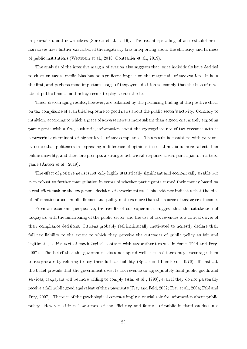in journalists and newsmakers (Soroka et al., 2019). The recent spreading of anti-establishment narratives have further exacerbated the negativity bias in reporting about the efficiency and fairness of public institutions (Wettstein et al., 2018; Couttenier et al., 2019).

The analysis of the intensive margin of evasion also suggests that, once individuals have decided to cheat on taxes, media bias has no signicant impact on the magnitude of tax evasion. It is in the first, and perhaps most important, stage of taxpayers' decision to comply that the bias of news about public finance and policy seems to play a crucial role.

These discouraging results, however, are balanced by the promising finding of the positive effect on tax compliance of even brief exposure to good news about the public sector's activity. Contrary to intuition, according to which a piece of adverse news is more salient than a good one, merely exposing participants with a few, authentic, information about the appropriate use of tax revenues acts as a powerful determinant of higher levels of tax compliance. This result is consistent with previous evidence that politeness in expressing a difference of opinions in social media is more salient than online incivility, and therefore prompts a stronger behavioral response across participants in a trust game (Antoci et al., 2019).

The effect of positive news is not only highly statistically significant and economically sizable but even robust to further manipulation in terms of whether participants earned their money based on a real-effort task or the exogenous decision of experimenters. This evidence indicates that the bias of information about public nance and policy matters more than the source of taxpayers' income.

From an economic perspective, the results of our experiment suggest that the satisfaction of taxpayers with the functioning of the public sector and the use of tax revenues is a critical driver of their compliance decisions. Citizens probably feel intrinsically motivated to honestly declare their full tax liability to the extent to which they perceive the outcomes of public policy as fair and legitimate, as if a sort of psychological contract with tax authorities was in force (Feld and Frey, 2007). The belief that the government does not spend well citizens' taxes may encourage them to reciprocate by refusing to pay their full tax liability (Spicer and Lundstedt, 1976). If, instead, the belief prevails that the government uses its tax revenue to appropriately fund public goods and services, taxpayers will be more willing to comply (Alm et al., 1993), even if they do not personally receive a full public good equivalent of their payments (Frey and Feld, 2002; Frey et al., 2004; Feld and Frey, 2007). Theories of the psychological contract imply a crucial role for information about public policy. However, citizens' awareness of the efficiency and fairness of public institutions does not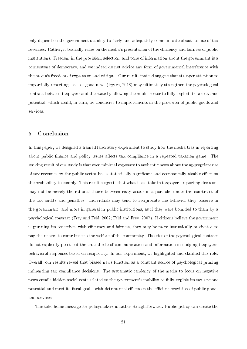only depend on the government's ability to fairly and adequately communicate about its use of tax revenues. Rather, it basically relies on the media's presentation of the efficiency and fairness of public institutions. Freedom in the provision, selection, and tone of information about the government is a cornerstone of democracy, and we indeed do not advice any form of governmental interference with the media's freedom of expression and critique. Our results instead suggest that stronger attention to impartially reporting  $\sim$  also  $\sim$  good news (Iggers, 2018) may ultimately strengthen the psychological contract between taxpayers and the state by allowing the public sector to fully exploit its tax revenue potential, which could, in turn, be conducive to improvements in the provision of public goods and services.

# 5 Conclusion

In this paper, we designed a framed laboratory experiment to study how the media bias in reporting about public finance and policy issues affects tax compliance in a repeated taxation game. The striking result of our study is that even minimal exposure to authentic news about the appropriate use of tax revenues by the public sector has a statistically significant and economically sizable effect on the probability to comply. This result suggests that what is at stake in taxpayers' reporting decisions may not be merely the rational choice between risky assets in a portfolio under the constraint of the tax audits and penalties. Individuals may tend to reciprocate the behavior they observe in the government, and more in general in public institutions, as if they were bounded to them by a psychological contract (Frey and Feld, 2002; Feld and Frey, 2007). If citizens believe the government is pursuing its objectives with efficiency and fairness, they may be more intrinsically motivated to pay their taxes to contribute to the welfare of the community. Theories of the psychological contract do not explicitly point out the crucial role of communication and information in nudging taxpayers' behavioral responses based on reciprocity. In our experiment, we highlighted and clarified this role. Overall, our results reveal that biased news function as a constant source of psychological priming influencing tax compliance decisions. The systematic tendency of the media to focus on negative news entails hidden social costs related to the government's inability to fully exploit its tax revenue potential and meet its fiscal goals, with detrimental effects on the efficient provision of public goods and services.

The take-home message for policymakers is rather straightforward. Public policy can create the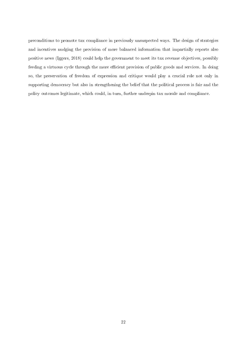preconditions to promote tax compliance in previously unsuspected ways. The design of strategies and incentives nudging the provision of more balanced information that impartially reports also positive news (Iggers, 2018) could help the government to meet its tax revenue objectives, possibly feeding a virtuous cycle through the more efficient provision of public goods and services. In doing so, the preservation of freedom of expression and critique would play a crucial role not only in supporting democracy but also in strengthening the belief that the political process is fair and the policy outcomes legitimate, which could, in turn, further underpin tax morale and compliance.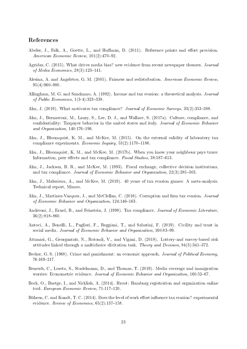### References

- Abeler, J., Falk, A., Goette, L., and Huffman, D. (2011). Reference points and effort provision. American Economic Review,  $101(2)$ : 470-92.
- Agridas, C. (2015). What drives media bias? new evidence from recent newspaper closures. Journal of Media Economics,  $28(3)$ :123-141.
- Alesina, A. and Angeletos, G. M. (2005). Fairness and redistribution. American Economic Review,  $95(4):960-980.$
- Allingham, M. G. and Sandmmo, A. (1992). Income and tax evasion: a theoretical analysis. Journal of Public Economics,  $1(3-4)$ : 323-338.
- Alm, J. (2019). What motivates tax compliance? *Journal of Economic Surveys*, 33(2):353–388.
- Alm, J., Bernasconi, M., Laury, S., Lee, D. J., and Wallace, S. (2017a). Culture, compliance, and condentiality: Taxpayer behavior in the united states and italy. Journal of Economic Behavior and Organization,  $140.176-196$ .
- Alm, J., Bloomquist, K. M., and McKee, M. (2015). On the external validity of laboratory tax compliance experiments. Economic Inquiry,  $53(2):1170-1186$ .
- Alm, J., Bloomquist, K. M., and McKee, M. (2017b). When you know your neighbour pays taxes: Information, peer effects and tax compliance. Fiscal Studies, 38:587-613.
- Alm, J., Jackson, B. R., and McKee, M. (1993). Fiscal exchange, collective decision institutions, and tax compliance. Journal of Economic Behavior and Organization,  $22(3)$ :285-303.
- Alm, J., Malezieux, A., and McKee, M. (2019). 40 years of tax evasion games: A meta-analysis. Technical report, Mimeo.
- Alm, J., Martinez-Vazquez, J., and McClellan, C. (2016). Corruption and firm tax evasion. Journal of Economic Behavior and Organization, 124:146-163.
- Andreoni, J., Erard, B., and Feinstein, J. (1998). Tax compliance. Journal of Economic Literature,  $36(2):818-860.$
- Antoci, A., Bonelli, L., Paglieri, F., Reggiani, T., and Sabatini, F. (2019). Civility and trust in social media. Journal of Economic Behavior and Organization, 160:83-99.
- Attanasi, G., Georgantzís, N., Rotondi, V., and Vigani, D. (2018). Lottery-and survey-based risk attitudes linked through a multichoice elicitation task. Theory and Decision,  $84(3):341-372$ .
- Becker, G. S. (1968). Crime and punishment: an economic approach. *Journal of Political Economy*. 76:169217.
- Benesch, C., Loretz, S., Stadelmann, D., and Thomas, T. (2019). Media coverage and immigration worries: Econometric evidence. Journal of Economic Behavior and Organization, 160:52-67.
- Bock, O., Baetge, I., and Nicklish, A. (2014). Hroot: Hamburg registration and organization online tool. European Economic Review,  $71:117-120$ .
- Bühren, C. and Kundt, T. C. (2014). Does the level of work effort influence tax evasion? experimental evidence. Review of Economics,  $65(2)$ :137-158.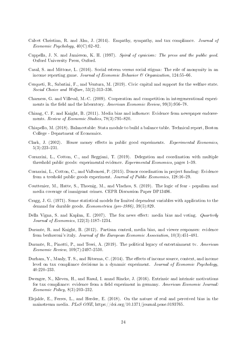- Calvet Christian, R. and Alm, J. (2014). Empathy, sympathy, and tax compliance. Journal of Economic Psychology,  $40(C)$ :62-82.
- Cappella, J. N. and Jamieson, K. H. (1997). Spiral of cynicism: The press and the public good. Oxford University Press, Oxford.
- Casal, S. and Mittone, L. (2016). Social esteem versus social stigma: The role of anonymity in an income reporting game. Journal of Economic Behavior  $\mathcal{C}_1$  Organization, 124:55-66.
- Cerqueti, R., Sabatini, F., and Ventura, M. (2019). Civic capital and support for the welfare state. Social Choice and Welfare,  $53(2):313-336$ .
- Charness, G. and Villeval, M.-C. (2009). Cooperation and competition in intergenerational experiments in the field and the laboratory. American Economic Review, 99(3):956-78.
- Chiang, C. F. and Knight, B. (2011). Media bias and influence: Evidence from newspaper endorsements. Review of Economic Studies,  $78(3)$ : 795-820.
- Chiapello, M. (2018). Balancetable: Stata module to build a balance table. Technical report, Boston College - Department of Economics.
- Clark, J. (2002). House money effects in public good experiments. Experimental Economics  $5(3):223-231.$
- Corazzini, L., Cotton, C., and Reggiani, T. (2019). Delegation and coordination with multiple threshold public goods: experimental evidence. *Experimental Economics*, pages 1–39.
- Corazzini, L., Cotton, C., and Valbonesi, P. (2015). Donor coordination in project funding: Evidence from a treshold public goods experiment. Journal of Public Economics, 128:16-29.
- Couttenier, M., Hatte, S., Thoenig, M., and Vlachos, S. (2019). The logic of fear populism and media coverage of immigrant crimes. CEPR Discussion Paper DP13496.
- Cragg, J. G. (1971). Some statistical models for limited dependent variables with application to the demand for durable goods. Econometrica (pre-1986), 39(5):829.
- Della Vigna, S. and Kaplan, E. (2007). The fox news effect: media bias and voting. *Quarterly* Journal of Economics,  $122(3)$ :  $1187-1234$ .
- Durante, R. and Knight, B. (2012). Partisan control, media bias, and viewer responses: evidence from berlusconi's italy. Journal of the European Economic Association, 10(3):451-481.
- Durante, R., Pinotti, P., and Tesei, A. (2019). The political legacy of entertainment tv. American  $Economic$   $Review$ ,  $109(7)$ :  $2497-2530$ .
- Durham, Y., Manly, T. S., and Ritsema, C. (2014). The effects of income source, context, and income level on tax compliance decisions in a dynamic experiment. Journal of Economic Psychology, 40:220233.
- Dwenger, N., Kleven, H., and Rasul, I. amnd Rincke, J. (2016). Extrinsic and intrinsic motivations for tax compliance: evidence from a field experiment in germany. American Economic Journal: Economic Policy,  $8(3)$ : 203-232.
- Elejalde, E., Ferres, L., and Herder, E. (2018). On the nature of real and perceived bias in the mainstream media. PLoS ONE, https://doi.org/10.1371/journal.pone.0193765.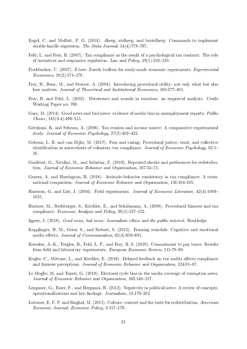- Engel, C. and Moffatt, P. G.  $(2014)$ . dhreg, xtdhreg, and bootdhreg: Commands to implement double-hurdle regression. The Stata Journal,  $14(4)$ : 778-797.
- Feld, L. and Frey, B. (2007). Tax compliance as the result of a psychological tax contract: The role of incentives and responsive regulation. Law and Policy,  $29(1):102-120$ .
- Fischbacher, U. (2007). Z-tree: Zurich toolbox for ready-made economic experiments. Experimental  $Economics, 10(2):171-178.$
- Frey, B., Benz, M., and Stutzer, A. (2004). Introducing procedural utility: not only what but also how matters. Journal of Theoretical and Institutional Economics, 160:377-401.
- Frey, B. and Feld, L. (2002). Deterrence and morale in taxation: an empirical analysis. Cesifo Working Paper no. 760.
- Garz, M. (2014). Good news and bad news: evidence of media bias in unemployment reports. Public  $Choice, 161(3-4): 499-515.$
- Gërxhani, K. and Schram, A. (2006). Tax evasion and income source: A comparative experimental study. Journal of Economic Psychology,  $27(3)$ : 402-422.
- Gobena, L. B. and van Dijke, M. (2017). Fear and caring: Procedural justice, trust, and collective identification as antecedents of voluntary tax compliance. Journal of Economic Psychology,  $62:1-$ 16.
- Gualtieri, G., Nicolini, M., and Sabatini, F. (2019). Repeated shocks and preferences for redistribution. Journal of Economic Behavior and Organization, 167:53-71.
- Guerra, A. and Harrington, B. (2018). Attitude-behavior consistency in tax compliance: A crossnational comparison. Journal of Economic Behavior and Organization, 156:184-205.
- Harrison, G. and List, J. (2004). Field experiments. *Journal of Economic Literature*,  $42(4):1009-$ 1055.
- Hartner, M., Rechberger, S., Kirchler, E., and Schabmann, A. (2008). Procedural fairness and tax compliance. Economic Analysis and Policy,  $38(1):137-152$ .
- Iggers, J. (2018). Good news, bad news: Journalism ethics and the public interest. Routledge.
- Kepplinger, H. M., Geiss, S., and Siebert, S. (2012). Framing scandals: Cognitive and emotional media effects. Journal of Communication,  $62(4):659-681$ .
- Koessler, A.-K., Torgler, B., Feld, L. P., and Frey, B. S. (2019). Commitment to pay taxes: Results from field and laboratory experiments. European Economic Review, 115:78-98.
- Kogler, C., Mittone, L., and Kirchler, E. (2016). Delayed feedback on tax audits affects compliance and fairness perceptions. Journal of Economic Behavior and Organization, 124:81-87.
- Le Moglie, M. and Turati, G. (2019). Electoral cycle bias in the media coverage of corruption news. Journal of Economic Behavior and Organization, 163:140-157.
- Lengauer, G., Esser, F., and Berganza, R. (2012). Negativity in political news: A review of concepts, operationalizations and key findings.  $Journalism$ , 13:179-202.
- Luttmer, E. F. P. and Singhal, M. (2011). Culture, context and the taste for redistribution. American Economic Journal: Economic Policy, 3:157-179.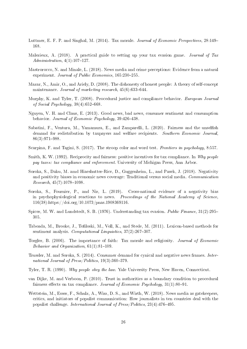- Luttmer, E. F. P. and Singhal, M. (2014). Tax morale. Journal of Economic Perspectives, 28:149– 168.
- Malezieux, A. (2018). A practical guide to setting up your tax evasion game. Journal of Tax  $Administration, 4(1):107–127.$
- Mastrorocco, N. and Minale, L. (2018). News media and crime perceptions: Evidence from a natural experiment. Journal of Public Economics,  $165:230-255$ .
- Mazar, N., Amir, O., and Ariely, D. (2008). The dishonesty of honest people: A theory of self-concept maintenance. Journal of marketing research,  $45(6)$ :633-644.
- Murphy, K. and Tyler, T. (2008). Procedural justice and compliance behavior. European Journal of Social Psychology,  $38(4):652-668$ .
- Nguyen, V. H. and Claus, E. (2013). Good news, bad news, consumer sentiment and consumption behavior. Journal of Economic Psychology, 39:426-438.
- Sabatini, F., Ventura, M., Yamamura, E., and Zamparelli, L. (2020). Fairness and the unselfish demand for redistribution by taxpayers and welfare recipients. Southern Economic Journal 86(3):971-988.
- Scarpina, F. and Tagini, S. (2017). The stroop color and word test. Frontiers in psychology, 8:557.
- Smith, K. W. (1992). Reciprocity and fairness: positive incentives for tax compliance. In Why people pay taxes: tax compliance and enforcement. University of Michigan Press, Ann Arbor.
- Soroka, S., Daku, M. amd Hiaeshutter-Rice, D., Guggenheim, L., and Pasek, J. (2018). Negativity and positivity biases in economic news coverage: Traditional versus social media. Communication  $Research, 45(7):1078-1098.$
- Soroka, S., Fournier, P., and Nir, L. (2019). Cross-national evidence of a negativity bias in psychophysiological reactions to news. Proceedings of the National Academy of Science, 116(38):https://doi.org/10.1073/pnas.1908369116.
- Spicer, M. W. and Lundstedt, S. B. (1976). Understanding tax evasion. *Public Finance*,  $31(2):295-$ 305.
- Taboada, M., Brooke, J., Tofiloski, M., Voll, K., and Stede, M. (2011). Lexicon-based methods for sentiment analysis. Computational Linguistics,  $37(2)$ :267-307.
- Torgler, B. (2006). The importance of faith: Tax morale and religiosity. Journal of Economic Behavior and Organization,  $61(1)$ : $81-109$ .
- Trussler, M. and Soroka, S. (2014). Consumer demand for cynical and negative news frames. International Journal of Press/Politics,  $19(3)$ : 360-379.
- Tyler, T. R. (1990). Why people obey the law. Yale University Press, New Haven, Connecticut.
- van Dijke, M. and Verboon, P. (2010). Trust in authorities as a boundary condition to procedural fairness effects on tax compliance. Journal of Economic Psychology,  $31(1):80-91$ .
- Wettstein, M., Esser, F., Schulz, A., Wirz, D. S., and Wirth, W. (2018). News media as gatekeepers, critics, and initiators of populist communication: How journalists in ten countries deal with the populist challenge. International Journal of  $Press/Politics$ ,  $23(4):476-495$ .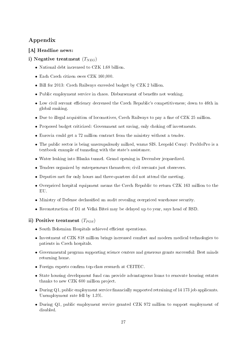# Appendix

# [A] Headline news:

# i) Negative treatment  $(T_{NEG})$

- National debt increased to CZK 1.68 billion.
- Each Czech citizen owes CZK 160,000.
- Bill for 2013: Czech Railways exceeded budget by CZK 2 billion.
- Public employment service in chaos. Disbursement of benefits not working.
- Low civil servant efficiency decreased the Czech Republic's competitiveness; down to 46th in global ranking.
- Due to illegal acquisition of locomotives, Czech Railways to pay a fine of CZK 25 million.
- Proposed budget criticized: Government not saving, only choking off investments.
- Eurovia could get a 72 million contract from the ministry without a tender.
- The public sector is being unscrupulously milked, warns SIS. Leopold Cerný: ProMoPro is a textbook example of tunneling with the state's assistance.
- Water leaking into Blanka tunnel. Grand opening in December jeopardized.
- Tenders organized by entrepreneurs themselves; civil servants just observers.
- Deputies met for only hours and three-quarters did not attend the meeting.
- Overpriced hospital equipment means the Czech Republic to return CZK 163 million to the EU.
- $\bullet$  Ministry of Defense declassified an audit revealing overpriced warehouse security.
- Reconstruction of D1 at Velká Bíteš may be delayed up to year, says head of RSD.

# ii) Positive treatment  $(T_{POS})$

- South Bohemian Hospitals achieved efficient operations.
- Investment of CZK 818 million brings increased comfort and modern medical technologies to patients in Czech hospitals.
- Governmental program supporting science centers and generous grants successful: Best minds returning home.
- Foreign experts confirm top-class research at CEITEC.
- State housing development fund can provide advantageous loans to renovate housing estates thanks to new CZK 600 million project.
- $\bullet$  During Q1, public employment service financially supported retraining of 14 173 job applicants. Unemployment rate fell by 1.3%.
- During Q1, public employment service granted CZK 972 million to support employment of disabled.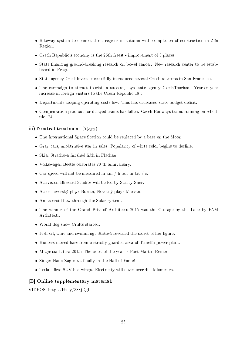- Bikeway system to connect three regions in autumn with completion of construction in Zlín Region.
- Czech Republic's economy is the 26th freest improvement of 3 places.
- State financing ground-breaking research on bowel cancer. New research center to be established in Prague.
- State agency CzechInvest successfully introduced several Czech startups in San Francisco.
- The campaign to attract tourists a success, says state agency CzechTourism. Year-on-year increase in foreign visitors to the Czech Republic 18.5
- Departments keeping operating costs low. This has decreased state budget deficit.
- Compensation paid out for delayed trains has fallen. Czech Railways trains running on schedule. 24

#### iii) Neutral treatment  $(T_{NEU})$

- The International Space Station could be replaced by a base on the Moon.
- Gray cars, unobtrusive star in sales. Popularity of white color begins to decline.
- $\bullet\,$  Skier Strachova finished fifth in Flachau.
- Volkswagen Beetle celebrates 70 th anniversary.
- Car speed will not be measured in  $km / h$  but in bit / s.
- Activision Blizzard Studios will be led by Stacey Sher.
- Actor Javorský plays Burian, Novotný plays Marvan.
- $\bullet$  An asteroid flew through the Solar system.
- The winner of the Grand Prix of Architects 2015 was the Cottage by the Lake by FAM Architekti.
- World dog show Crufts started.
- Fish oil, wine and swimming. Stašová revealed the secret of her figure.
- Hunters moved hare from a strictly guarded area of Temelín power plant.
- Magnesia Litera 2015: The book of the year is Poet Martin Reiner.
- Singer Hana Zagorova finally in the Hall of Fame!
- Tesla's first SUV has wings. Electricity will cover over 400 kilometers.

#### [B] Online supplementary material:

VIDEOS: http://bit.ly/388jDgL